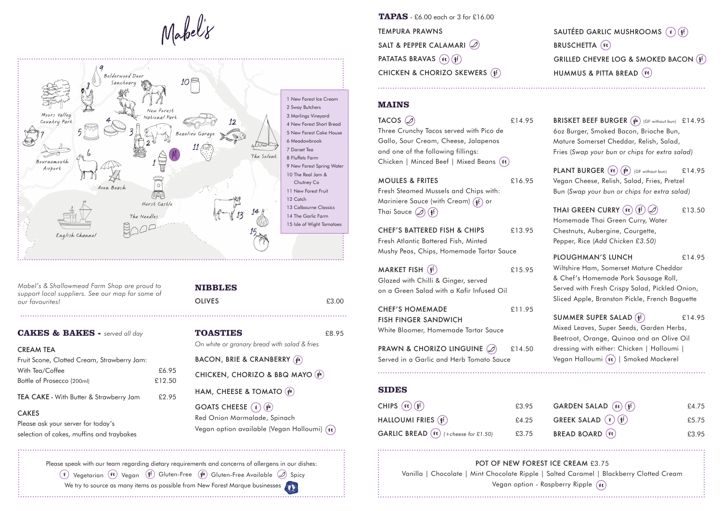

*Mabel's & Shallowmead Farm Shop are proud to* support local suppliers. See our map for some of our favourites!

### **NIBBLES**

**OLIVES** 

|  |  | £3.00 |
|--|--|-------|
|  |  |       |

**CAKES & BAKES -** served all day **TOASTIES** 68.95 BACON, BRIE & CRANBERRY (gfa) CHICKEN, CHORIZO & BBQ MAYO (gfa) HAM, CHEESE & TOMATO  $(9^{fa})$ GOATS CHEESE  $(v)$  (gfa) Red Onion Marmalade, Spinach Vegan option available (Vegan Halloumi) (ve) On white or granary bread with salad & fries

Please speak with our team regarding dietary requirements and concerns of allergens in our dishes:

 $(V)$  Vegetarian  $(Ve)$  Vegan  $(Vf)$  Gluten-Free  $(Vf)$  Gluten-Free Available  $\mathcal{D}$  Spicy We try to source as many items as possible from New Forest Marque businesses  $\alpha$ 

**TEMPURA PRAWNS** SALT & PEPPER CALAMARI  $\mathcal{D}$ PATATAS BRAVAS (ve) (gf) CHICKEN & CHORIZO SKEWERS (f) **TAPAS** - £6.00 each or 3 for £16.00

| CHIPS $(\overline{ve}) (\overline{w})$                   | £3.95 |
|----------------------------------------------------------|-------|
| HALLOUMI FRIES (§f)                                      | £4.25 |
| <b>GARLIC BREAD</b> $(\forall \ell)$ (+cheese for £1.50) | £3.75 |

POT OF NEW FOREST ICE CREAM £3.75 Vanilla | Chocolate | Mint Chocolate Ripple | Salted Caramel | Blackberry Clotted Cream Vegan option - Raspberry Ripple  $(v_{\ell})$ 

# SAUTÉED GARLIC MUSHROOMS  $(V)$  ( $\frac{1}{2}$ f) **BRUSCHETTA**  $(\nu e)$ GRILLED CHEVRE LOG & SMOKED BACON  $($  1<sup>f</sup>) HUMMUS & PITTA BREAD (Ve)

BRISKET BEEF BURGER (gfa) (GF without bun) £14.95 60z Burger, Smoked Bacon, Brioche Bun, Mature Somerset Cheddar, Relish, Salad, Fries (Swap your bun or chips for extra salad)

**PLANT BURGER**  $(\forall e)(\oint_a^{\{a\}})$  (GF without bun) £14.95 Vegan Cheese, Relish, Salad, Fries, Pretzel Bun (Swap your bun or chips for extra salad)

THAI GREEN CURRY  $(\forall \ell) (\{ \ell \}) (\mathcal{D})$  £13.50 Homemade Thai Green Curry, Water Chestnuts, Aubergine, Courgette, Pepper, Rice (Add Chicken £3.50)

PLOUGHMAN'S LUNCH S14.95 Wiltshire Ham, Somerset Mature Cheddar & Chef's Homemade Pork Sausage Roll, Served with Fresh Crispy Salad, Pickled Onion, Sliced Apple, Branston Pickle, French Baguette

SUMMER SUPER SALAD  $(f)$  £14.95 Mixed Leaves, Super Seeds, Garden Herbs, Beetroot, Orange, Quinoa and an Olive Oil dressing with either: Chicken | Halloumi | Vegan Halloumi (Ve) | Smoked Mackerel

#### £16.95 FRITES & MOULES

Fresh Steamed Mussels and Chips with: Mariniere Sauce (with Cream)  $(f)$  or Thai Sauce  $\oslash$  (*ff*)

CHEF'S BATTERED FISH & CHIPS £13.95 Fresh Atlantic Battered Fish, Minted Mushy Peas, Chips, Homemade Tartar Sauce

MARKET FISH  $(\frac{6}{10})$  £15.95 Glazed with Chilli & Ginger, served on a Green Salad with a Kafir Infused Oil

CHEF'S HOMEMADE E11.95 **FISH FINGER SANDWICH** White Bloomer, Homemade Tartar Sauce

PRAWN & CHORIZO LINGUINE  $(2)$  £14.50 Served in a Garlic and Herb Tomato Sauce

## **SIDES**

### **MAINS**

 $TACOS$   $\oslash$   $\oslash$   $\oslash$   $\oslash$   $\oslash$   $\oslash$   $\oslash$   $\oslash$   $\oslash$   $\oslash$   $\oslash$   $\oslash$   $\oslash$   $\oslash$   $\oslash$   $\oslash$   $\oslash$   $\oslash$   $\oslash$   $\oslash$   $\oslash$   $\oslash$   $\oslash$   $\oslash$   $\oslash$   $\oslash$   $\oslash$   $\oslash$   $\oslash$   $\oslash$   $\oslash$   $\oslash$   $\oslash$   $\oslash$   $\oslash$   $\oslash$ Three Crunchy Tacos served with Pico de Gallo, Sour Cream, Cheese, Jalapenos and one of the following fillings: Chicken | Minced Beef | Mixed Beans  $(\nu e)$ 

| <b>CREAM TEA</b>                            |        |
|---------------------------------------------|--------|
| Fruit Scone, Clotted Cream, Strawberry Jam: |        |
| With Tea/Coffee                             | £6.95  |
| Bottle of Prosecco (200ml)                  | £12.50 |
|                                             |        |

TEA CAKE - With Butter & Strawberry Jam £2.95

### CAKES

Please ask your server for today's selection of cakes, muffins and traybakes

| GARDEN SALAD (Ve) (gf)               | £4.75 |
|--------------------------------------|-------|
| GREEK SALAD $\left(\sqrt{2} \right)$ | £5.75 |
| <b>BREAD BOARD</b> (Ve)              | £3.95 |